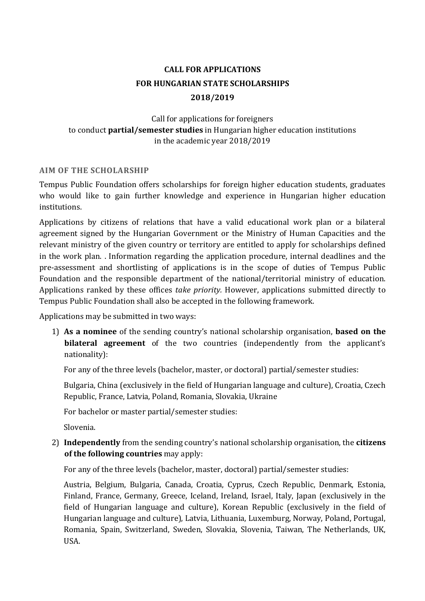# **CALL FOR APPLICATIONS FOR HUNGARIAN STATE SCHOLARSHIPS 2018/2019**

# Call for applications for foreigners to conduct **partial/semester studies** in Hungarian higher education institutions in the academic year 2018/2019

### **AIM OF THE SCHOLARSHIP**

Tempus Public Foundation offers scholarships for foreign higher education students, graduates who would like to gain further knowledge and experience in Hungarian higher education institutions.

Applications by citizens of relations that have a valid educational work plan or a bilateral agreement signed by the Hungarian Government or the Ministry of Human Capacities and the relevant ministry of the given country or territory are entitled to apply for scholarships defined in the work plan. . Information regarding the application procedure, internal deadlines and the pre-assessment and shortlisting of applications is in the scope of duties of Tempus Public Foundation and the responsible department of the national/territorial ministry of education. Applications ranked by these offices *take priority.* However, applications submitted directly to Tempus Public Foundation shall also be accepted in the following framework.

Applications may be submitted in two ways:

1) **As a nominee** of the sending country's national scholarship organisation, **based on the bilateral agreement** of the two countries (independently from the applicant's nationality):

For any of the three levels (bachelor, master, or doctoral) partial/semester studies:

Bulgaria, China (exclusively in the field of Hungarian language and culture), Croatia, Czech Republic, France, Latvia, Poland, Romania, Slovakia, Ukraine

For bachelor or master partial/semester studies:

Slovenia.

2) **Independently** from the sending country's national scholarship organisation, the **citizens of the following countries** may apply:

For any of the three levels (bachelor, master, doctoral) partial/semester studies:

Austria, Belgium, Bulgaria, Canada, Croatia, Cyprus, Czech Republic, Denmark, Estonia, Finland, France, Germany, Greece, Iceland, Ireland, Israel, Italy, Japan (exclusively in the field of Hungarian language and culture), Korean Republic (exclusively in the field of Hungarian language and culture), Latvia, Lithuania, Luxemburg, Norway, Poland, Portugal, Romania, Spain, Switzerland, Sweden, Slovakia, Slovenia, Taiwan, The Netherlands, UK, USA.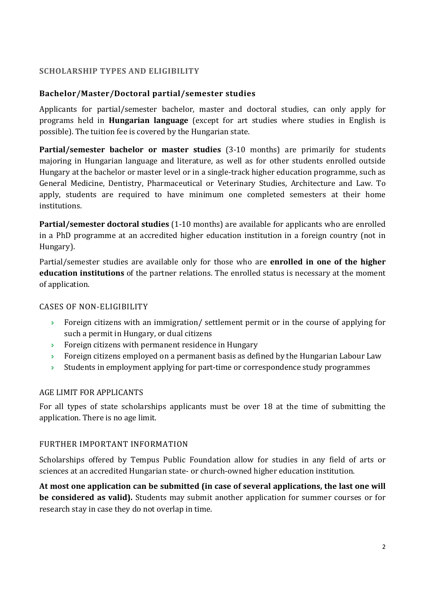### **SCHOLARSHIP TYPES AND ELIGIBILITY**

### **Bachelor/Master/Doctoral partial/semester studies**

Applicants for partial/semester bachelor, master and doctoral studies, can only apply for programs held in **Hungarian language** (except for art studies where studies in English is possible). The tuition fee is covered by the Hungarian state.

**Partial/semester bachelor or master studies** (3-10 months) are primarily for students majoring in Hungarian language and literature, as well as for other students enrolled outside Hungary at the bachelor or master level or in a single-track higher education programme, such as General Medicine, Dentistry, Pharmaceutical or Veterinary Studies, Architecture and Law. To apply, students are required to have minimum one completed semesters at their home institutions.

**Partial/semester doctoral studies** (1-10 months) are available for applicants who are enrolled in a PhD programme at an accredited higher education institution in a foreign country (not in Hungary).

Partial/semester studies are available only for those who are **enrolled in one of the higher education institutions** of the partner relations. The enrolled status is necessary at the moment of application.

#### CASES OF NON-ELIGIBILITY

- $\rightarrow$  Foreign citizens with an immigration/ settlement permit or in the course of applying for such a permit in Hungary, or dual citizens
- **Foreign citizens with permanent residence in Hungary**
- **Foreign citizens employed on a permanent basis as defined by the Hungarian Labour Law**
- $\rightarrow$  Students in employment applying for part-time or correspondence study programmes

#### AGE LIMIT FOR APPLICANTS

For all types of state scholarships applicants must be over 18 at the time of submitting the application. There is no age limit.

#### FURTHER IMPORTANT INFORMATION

Scholarships offered by Tempus Public Foundation allow for studies in any field of arts or sciences at an accredited Hungarian state- or church-owned higher education institution.

**At most one application can be submitted (in case of several applications, the last one will be considered as valid).** Students may submit another application for summer courses or for research stay in case they do not overlap in time.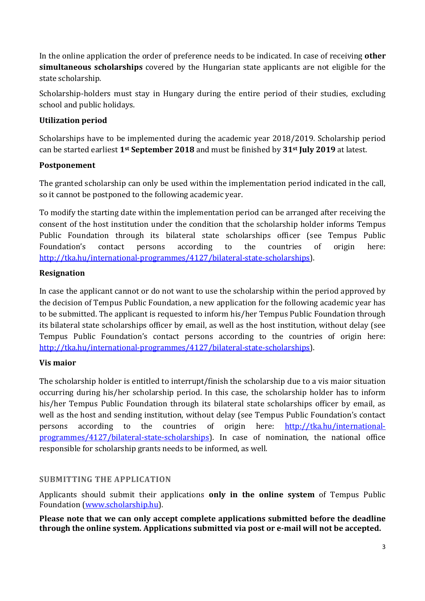In the online application the order of preference needs to be indicated. In case of receiving **other simultaneous scholarships** covered by the Hungarian state applicants are not eligible for the state scholarship.

Scholarship-holders must stay in Hungary during the entire period of their studies, excluding school and public holidays.

# **Utilization period**

Scholarships have to be implemented during the academic year 2018/2019. Scholarship period can be started earliest **1st September 2018** and must be finished by **31st July 2019** at latest.

### **Postponement**

The granted scholarship can only be used within the implementation period indicated in the call, so it cannot be postponed to the following academic year.

To modify the starting date within the implementation period can be arranged after receiving the consent of the host institution under the condition that the scholarship holder informs Tempus Public Foundation through its bilateral state scholarships officer (see Tempus Public Foundation's contact persons according to the countries of origin here: http://tka.hu/international-programmes/4127/bilateral-state-scholarships).

### **Resignation**

In case the applicant cannot or do not want to use the scholarship within the period approved by the decision of Tempus Public Foundation, a new application for the following academic year has to be submitted. The applicant is requested to inform his/her Tempus Public Foundation through its bilateral state scholarships officer by email, as well as the host institution, without delay (see Tempus Public Foundation's contact persons according to the countries of origin here: http://tka.hu/international-programmes/4127/bilateral-state-scholarships).

#### **Vis maior**

The scholarship holder is entitled to interrupt/finish the scholarship due to a vis maior situation occurring during his/her scholarship period. In this case, the scholarship holder has to inform his/her Tempus Public Foundation through its bilateral state scholarships officer by email, as well as the host and sending institution, without delay (see Tempus Public Foundation's contact persons according to the countries of origin here: http://tka.hu/internationalprogrammes/4127/bilateral-state-scholarships). In case of nomination, the national office responsible for scholarship grants needs to be informed, as well.

#### **SUBMITTING THE APPLICATION**

Applicants should submit their applications **only in the online system** of Tempus Public Foundation (www.scholarship.hu).

**Please note that we can only accept complete applications submitted before the deadline through the online system. Applications submitted via post or e-mail will not be accepted.**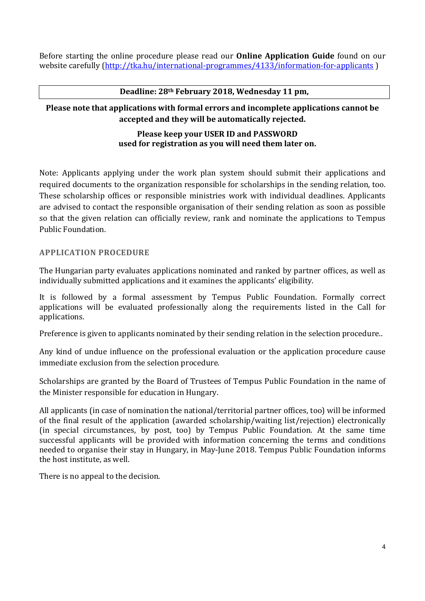Before starting the online procedure please read our **Online Application Guide** found on our website carefully (http://tka.hu/international-programmes/4133/information-for-applicants)

#### **Deadline: 28th February 2018, Wednesday 11 pm,**

# **Please note that applications with formal errors and incomplete applications cannot be accepted and they will be automatically rejected.**

#### **Please keep your USER ID and PASSWORD used for registration as you will need them later on.**

Note: Applicants applying under the work plan system should submit their applications and required documents to the organization responsible for scholarships in the sending relation, too. These scholarship offices or responsible ministries work with individual deadlines. Applicants are advised to contact the responsible organisation of their sending relation as soon as possible so that the given relation can officially review, rank and nominate the applications to Tempus Public Foundation.

#### **APPLICATION PROCEDURE**

The Hungarian party evaluates applications nominated and ranked by partner offices, as well as individually submitted applications and it examines the applicants' eligibility.

It is followed by a formal assessment by Tempus Public Foundation. Formally correct applications will be evaluated professionally along the requirements listed in the Call for applications.

Preference is given to applicants nominated by their sending relation in the selection procedure..

Any kind of undue influence on the professional evaluation or the application procedure cause immediate exclusion from the selection procedure.

Scholarships are granted by the Board of Trustees of Tempus Public Foundation in the name of the Minister responsible for education in Hungary.

All applicants (in case of nomination the national/territorial partner offices, too) will be informed of the final result of the application (awarded scholarship/waiting list/rejection) electronically (in special circumstances, by post, too) by Tempus Public Foundation. At the same time successful applicants will be provided with information concerning the terms and conditions needed to organise their stay in Hungary, in May-June 2018. Tempus Public Foundation informs the host institute, as well.

There is no appeal to the decision.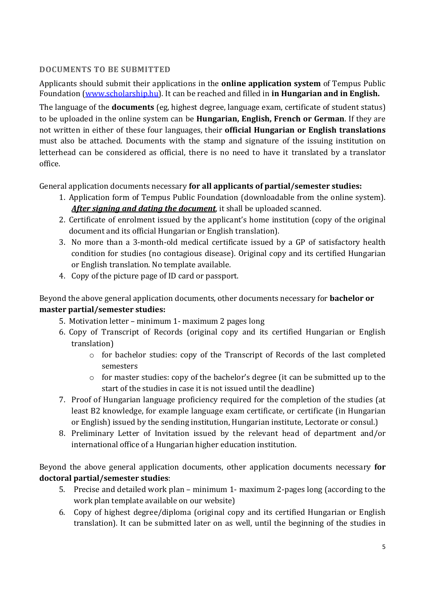# **DOCUMENTS TO BE SUBMITTED**

Applicants should submit their applications in the **online application system** of Tempus Public Foundation (www.scholarship.hu). It can be reached and filled in **in Hungarian and in English.** 

The language of the **documents** (eg, highest degree, language exam, certificate of student status) to be uploaded in the online system can be **Hungarian, English, French or German**. If they are not written in either of these four languages, their **official Hungarian or English translations** must also be attached. Documents with the stamp and signature of the issuing institution on letterhead can be considered as official, there is no need to have it translated by a translator office.

General application documents necessary **for all applicants of partial/semester studies:** 

- 1. Application form of Tempus Public Foundation (downloadable from the online system). *After signing and dating the document*, it shall be uploaded scanned.
- 2. Certificate of enrolment issued by the applicant's home institution (copy of the original document and its official Hungarian or English translation).
- 3. No more than a 3-month-old medical certificate issued by a GP of satisfactory health condition for studies (no contagious disease). Original copy and its certified Hungarian or English translation. No template available.
- 4. Copy of the picture page of ID card or passport.

# Beyond the above general application documents, other documents necessary for **bachelor or master partial/semester studies:**

- 5. Motivation letter minimum 1- maximum 2 pages long
- 6. Copy of Transcript of Records (original copy and its certified Hungarian or English translation)
	- o for bachelor studies: copy of the Transcript of Records of the last completed semesters
	- o for master studies: copy of the bachelor's degree (it can be submitted up to the start of the studies in case it is not issued until the deadline)
- 7. Proof of Hungarian language proficiency required for the completion of the studies (at least B2 knowledge, for example language exam certificate, or certificate (in Hungarian or English) issued by the sending institution, Hungarian institute, Lectorate or consul.)
- 8. Preliminary Letter of Invitation issued by the relevant head of department and/or international office of a Hungarian higher education institution.

Beyond the above general application documents, other application documents necessary **for doctoral partial/semester studies**:

- 5. Precise and detailed work plan minimum 1- maximum 2-pages long (according to the work plan template available on our website)
- 6. Copy of highest degree/diploma (original copy and its certified Hungarian or English translation). It can be submitted later on as well, until the beginning of the studies in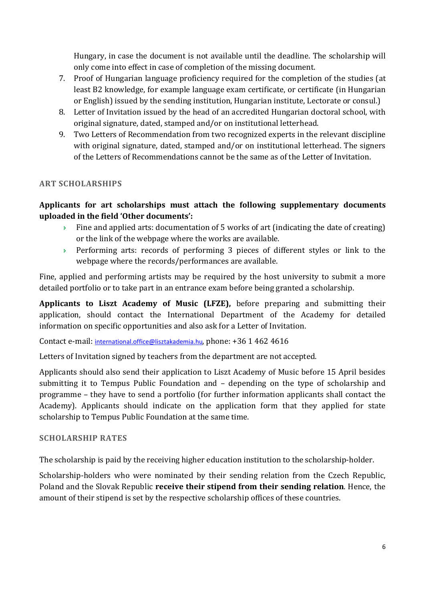Hungary, in case the document is not available until the deadline. The scholarship will only come into effect in case of completion of the missing document.

- 7. Proof of Hungarian language proficiency required for the completion of the studies (at least B2 knowledge, for example language exam certificate, or certificate (in Hungarian or English) issued by the sending institution, Hungarian institute, Lectorate or consul.)
- 8. Letter of Invitation issued by the head of an accredited Hungarian doctoral school, with original signature, dated, stamped and/or on institutional letterhead.
- 9. Two Letters of Recommendation from two recognized experts in the relevant discipline with original signature, dated, stamped and/or on institutional letterhead. The signers of the Letters of Recommendations cannot be the same as of the Letter of Invitation.

# **ART SCHOLARSHIPS**

# **Applicants for art scholarships must attach the following supplementary documents uploaded in the field 'Other documents':**

- $\rightarrow$  Fine and applied arts: documentation of 5 works of art (indicating the date of creating) or the link of the webpage where the works are available.
- Performing arts: records of performing 3 pieces of different styles or link to the webpage where the records/performances are available.

Fine, applied and performing artists may be required by the host university to submit a more detailed portfolio or to take part in an entrance exam before being granted a scholarship.

**Applicants to Liszt Academy of Music (LFZE),** before preparing and submitting their application, should contact the International Department of the Academy for detailed information on specific opportunities and also ask for a Letter of Invitation.

Contact e-mail: international.office@lisztakademia.hu, phone: +36 1 462 4616

Letters of Invitation signed by teachers from the department are not accepted.

Applicants should also send their application to Liszt Academy of Music before 15 April besides submitting it to Tempus Public Foundation and – depending on the type of scholarship and programme – they have to send a portfolio (for further information applicants shall contact the Academy). Applicants should indicate on the application form that they applied for state scholarship to Tempus Public Foundation at the same time.

#### **SCHOLARSHIP RATES**

The scholarship is paid by the receiving higher education institution to the scholarship-holder.

Scholarship-holders who were nominated by their sending relation from the Czech Republic, Poland and the Slovak Republic **receive their stipend from their sending relation**. Hence, the amount of their stipend is set by the respective scholarship offices of these countries.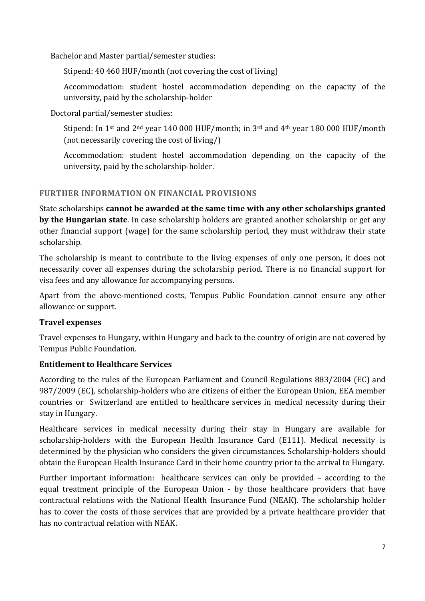Bachelor and Master partial/semester studies:

Stipend: 40 460 HUF/month (not covering the cost of living)

Accommodation: student hostel accommodation depending on the capacity of the university, paid by the scholarship-holder

Doctoral partial/semester studies:

Stipend: In 1<sup>st</sup> and 2<sup>nd</sup> year 140 000 HUF/month; in 3<sup>rd</sup> and 4<sup>th</sup> year 180 000 HUF/month (not necessarily covering the cost of living/)

Accommodation: student hostel accommodation depending on the capacity of the university, paid by the scholarship-holder.

# **FURTHER INFORMATION ON FINANCIAL PROVISIONS**

State scholarships **cannot be awarded at the same time with any other scholarships granted by the Hungarian state**. In case scholarship holders are granted another scholarship or get any other financial support (wage) for the same scholarship period, they must withdraw their state scholarship.

The scholarship is meant to contribute to the living expenses of only one person, it does not necessarily cover all expenses during the scholarship period. There is no financial support for visa fees and any allowance for accompanying persons.

Apart from the above-mentioned costs, Tempus Public Foundation cannot ensure any other allowance or support.

# **Travel expenses**

Travel expenses to Hungary, within Hungary and back to the country of origin are not covered by Tempus Public Foundation.

# **Entitlement to Healthcare Services**

According to the rules of the European Parliament and Council Regulations 883/2004 (EC) and 987/2009 (EC), scholarship-holders who are citizens of either the European Union, EEA member countries or Switzerland are entitled to healthcare services in medical necessity during their stay in Hungary.

Healthcare services in medical necessity during their stay in Hungary are available for scholarship-holders with the European Health Insurance Card (E111). Medical necessity is determined by the physician who considers the given circumstances. Scholarship-holders should obtain the European Health Insurance Card in their home country prior to the arrival to Hungary.

Further important information: healthcare services can only be provided – according to the equal treatment principle of the European Union - by those healthcare providers that have contractual relations with the National Health Insurance Fund (NEAK). The scholarship holder has to cover the costs of those services that are provided by a private healthcare provider that has no contractual relation with NEAK.